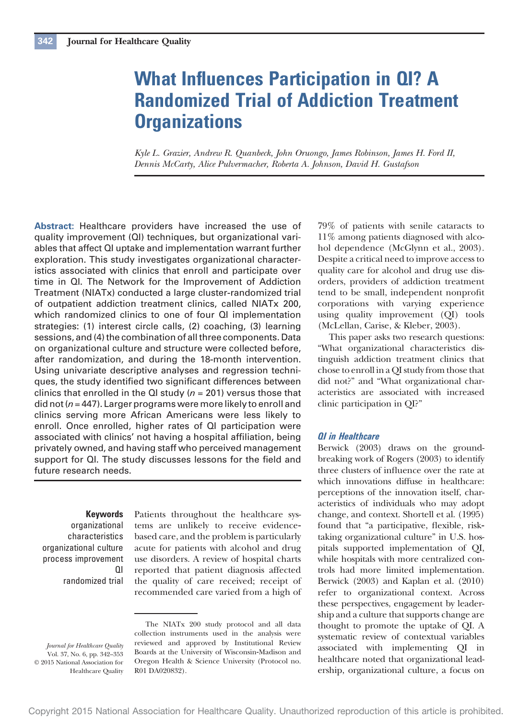# What Influences Participation in QI? A Randomized Trial of Addiction Treatment **Organizations**

Kyle L. Grazier, Andrew R. Quanbeck, John Oruongo, James Robinson, James H. Ford II, Dennis McCarty, Alice Pulvermacher, Roberta A. Johnson, David H. Gustafson

Abstract: Healthcare providers have increased the use of quality improvement (QI) techniques, but organizational variables that affect QI uptake and implementation warrant further exploration. This study investigates organizational characteristics associated with clinics that enroll and participate over time in QI. The Network for the Improvement of Addiction Treatment (NIATx) conducted a large cluster‐randomized trial of outpatient addiction treatment clinics, called NIATx 200, which randomized clinics to one of four QI implementation strategies: (1) interest circle calls, (2) coaching, (3) learning sessions, and (4) the combination of all three components. Data on organizational culture and structure were collected before, after randomization, and during the 18‐month intervention. Using univariate descriptive analyses and regression techniques, the study identified two significant differences between clinics that enrolled in the QI study ( $n = 201$ ) versus those that did not ( $n = 447$ ). Larger programs were more likely to enroll and clinics serving more African Americans were less likely to enroll. Once enrolled, higher rates of QI participation were associated with clinics' not having a hospital affiliation, being privately owned, and having staff who perceived management support for QI. The study discusses lessons for the field and future research needs.

#### Keywords

organizational characteristics organizational culture process improvement QI randomized trial

Patients throughout the healthcare systems are unlikely to receive evidence‐ based care, and the problem is particularly acute for patients with alcohol and drug use disorders. A review of hospital charts reported that patient diagnosis affected the quality of care received; receipt of recommended care varied from a high of

Journal for Healthcare Quality Vol. 37, No. 6, pp. 342–353 © 2015 National Association for Healthcare Quality

The NIATx 200 study protocol and all data collection instruments used in the analysis were reviewed and approved by Institutional Review Boards at the University of Wisconsin‐Madison and Oregon Health & Science University (Protocol no. R01 DA020832).

79% of patients with senile cataracts to 11% among patients diagnosed with alcohol dependence (McGlynn et al., 2003). Despite a critical need to improve access to quality care for alcohol and drug use disorders, providers of addiction treatment tend to be small, independent nonprofit corporations with varying experience using quality improvement (QI) tools (McLellan, Carise, & Kleber, 2003).

This paper asks two research questions: "What organizational characteristics distinguish addiction treatment clinics that chose to enroll in a QI study from those that did not?" and "What organizational characteristics are associated with increased clinic participation in QI?"

#### QI in Healthcare

Berwick (2003) draws on the groundbreaking work of Rogers (2003) to identify three clusters of influence over the rate at which innovations diffuse in healthcare: perceptions of the innovation itself, characteristics of individuals who may adopt change, and context. Shortell et al. (1995) found that "a participative, flexible, risk‐ taking organizational culture" in U.S. hospitals supported implementation of QI, while hospitals with more centralized controls had more limited implementation. Berwick (2003) and Kaplan et al. (2010) refer to organizational context. Across these perspectives, engagement by leadership and a culture that supports change are thought to promote the uptake of QI. A systematic review of contextual variables associated with implementing QI in healthcare noted that organizational leadership, organizational culture, a focus on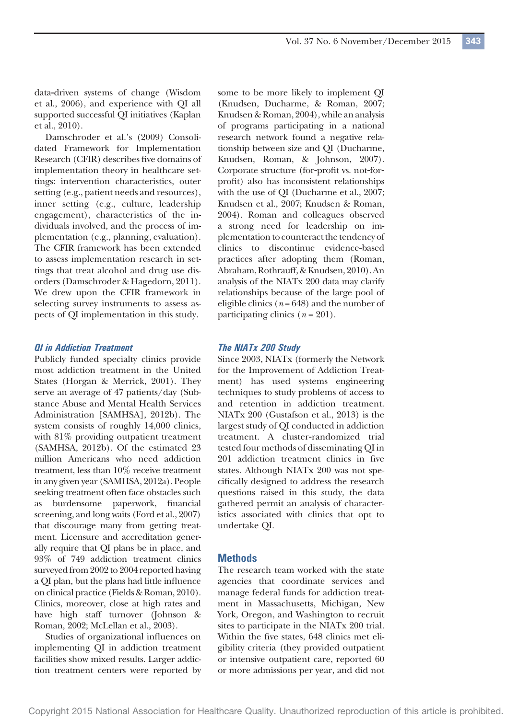data‐driven systems of change (Wisdom et al., 2006), and experience with QI all supported successful QI initiatives (Kaplan et al., 2010).

Damschroder et al.'s (2009) Consolidated Framework for Implementation Research (CFIR) describes five domains of implementation theory in healthcare settings: intervention characteristics, outer setting (e.g., patient needs and resources), inner setting (e.g., culture, leadership engagement), characteristics of the individuals involved, and the process of implementation (e.g., planning, evaluation). The CFIR framework has been extended to assess implementation research in settings that treat alcohol and drug use disorders (Damschroder & Hagedorn, 2011). We drew upon the CFIR framework in selecting survey instruments to assess aspects of QI implementation in this study.

#### QI in Addiction Treatment

Publicly funded specialty clinics provide most addiction treatment in the United States (Horgan & Merrick, 2001). They serve an average of 47 patients/day (Substance Abuse and Mental Health Services Administration [SAMHSA], 2012b). The system consists of roughly 14,000 clinics, with 81% providing outpatient treatment (SAMHSA, 2012b). Of the estimated 23 million Americans who need addiction treatment, less than 10% receive treatment in any given year (SAMHSA, 2012a). People seeking treatment often face obstacles such as burdensome paperwork, financial screening, and long waits (Ford et al., 2007) that discourage many from getting treatment. Licensure and accreditation generally require that QI plans be in place, and 93% of 749 addiction treatment clinics surveyed from 2002 to 2004 reported having a QI plan, but the plans had little influence on clinical practice (Fields & Roman, 2010). Clinics, moreover, close at high rates and have high staff turnover (Johnson & Roman, 2002; McLellan et al., 2003).

Studies of organizational influences on implementing QI in addiction treatment facilities show mixed results. Larger addiction treatment centers were reported by some to be more likely to implement QI (Knudsen, Ducharme, & Roman, 2007; Knudsen & Roman, 2004), while an analysis of programs participating in a national research network found a negative relationship between size and QI (Ducharme, Knudsen, Roman, & Johnson, 2007). Corporate structure (for‐profit vs. not‐for‐ profit) also has inconsistent relationships with the use of QI (Ducharme et al., 2007; Knudsen et al., 2007; Knudsen & Roman, 2004). Roman and colleagues observed a strong need for leadership on implementation to counteract the tendency of clinics to discontinue evidence‐based practices after adopting them (Roman, Abraham, Rothrauff, & Knudsen, 2010). An analysis of the NIATx 200 data may clarify relationships because of the large pool of eligible clinics ( $n = 648$ ) and the number of participating clinics  $(n = 201)$ .

#### The NIATx 200 Study

Since 2003, NIATx (formerly the Network for the Improvement of Addiction Treatment) has used systems engineering techniques to study problems of access to and retention in addiction treatment. NIATx 200 (Gustafson et al., 2013) is the largest study of QI conducted in addiction treatment. A cluster‐randomized trial tested four methods of disseminating QI in 201 addiction treatment clinics in five states. Although NIATx 200 was not specifically designed to address the research questions raised in this study, the data gathered permit an analysis of characteristics associated with clinics that opt to undertake QI.

#### Methods

The research team worked with the state agencies that coordinate services and manage federal funds for addiction treatment in Massachusetts, Michigan, New York, Oregon, and Washington to recruit sites to participate in the NIATx 200 trial. Within the five states, 648 clinics met eligibility criteria (they provided outpatient or intensive outpatient care, reported 60 or more admissions per year, and did not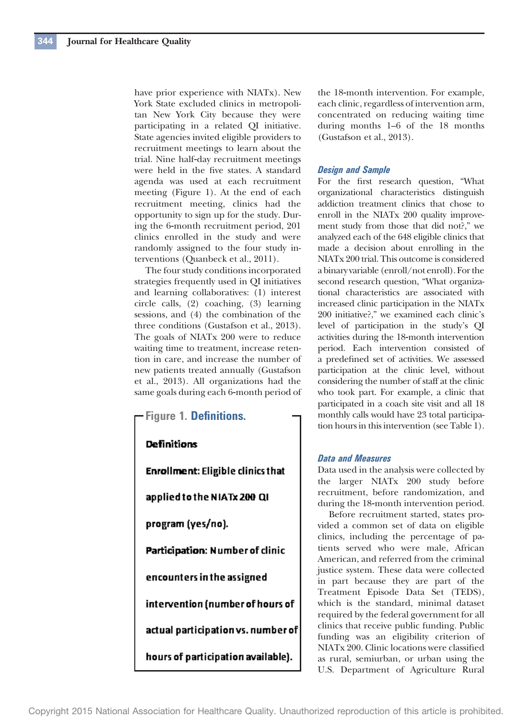have prior experience with NIATx). New York State excluded clinics in metropolitan New York City because they were participating in a related QI initiative. State agencies invited eligible providers to recruitment meetings to learn about the trial. Nine half‐day recruitment meetings were held in the five states. A standard agenda was used at each recruitment meeting (Figure 1). At the end of each recruitment meeting, clinics had the opportunity to sign up for the study. During the 6‐month recruitment period, 201 clinics enrolled in the study and were randomly assigned to the four study interventions (Quanbeck et al., 2011).

The four study conditions incorporated strategies frequently used in QI initiatives and learning collaboratives: (1) interest circle calls, (2) coaching, (3) learning sessions, and (4) the combination of the three conditions (Gustafson et al., 2013). The goals of NIATx 200 were to reduce waiting time to treatment, increase retention in care, and increase the number of new patients treated annually (Gustafson et al., 2013). All organizations had the same goals during each 6‐month period of

Figure 1. Definitions. **Definitions Enrollment: Eligible clinics that** applied to the NIATx 200 QI program (yes/no). Participation: Number of clinic encounters in the assigned intervention (number of hours of actual participation vs. number of hours of participation available).

the 18‐month intervention. For example, each clinic, regardless of intervention arm, concentrated on reducing waiting time during months 1–6 of the 18 months (Gustafson et al., 2013).

#### Design and Sample

For the first research question, "What organizational characteristics distinguish addiction treatment clinics that chose to enroll in the NIATx 200 quality improvement study from those that did not?," we analyzed each of the 648 eligible clinics that made a decision about enrolling in the NIATx 200 trial. This outcome is considered a binary variable (enroll/not enroll). For the second research question, "What organizational characteristics are associated with increased clinic participation in the NIATx 200 initiative?," we examined each clinic's level of participation in the study's QI activities during the 18‐month intervention period. Each intervention consisted of a predefined set of activities. We assessed participation at the clinic level, without considering the number of staff at the clinic who took part. For example, a clinic that participated in a coach site visit and all 18 monthly calls would have 23 total participation hours in this intervention (see Table 1).

#### Data and Measures

Data used in the analysis were collected by the larger NIATx 200 study before recruitment, before randomization, and during the 18‐month intervention period.

Before recruitment started, states provided a common set of data on eligible clinics, including the percentage of patients served who were male, African American, and referred from the criminal justice system. These data were collected in part because they are part of the Treatment Episode Data Set (TEDS), which is the standard, minimal dataset required by the federal government for all clinics that receive public funding. Public funding was an eligibility criterion of NIATx 200. Clinic locations were classified as rural, semiurban, or urban using the U.S. Department of Agriculture Rural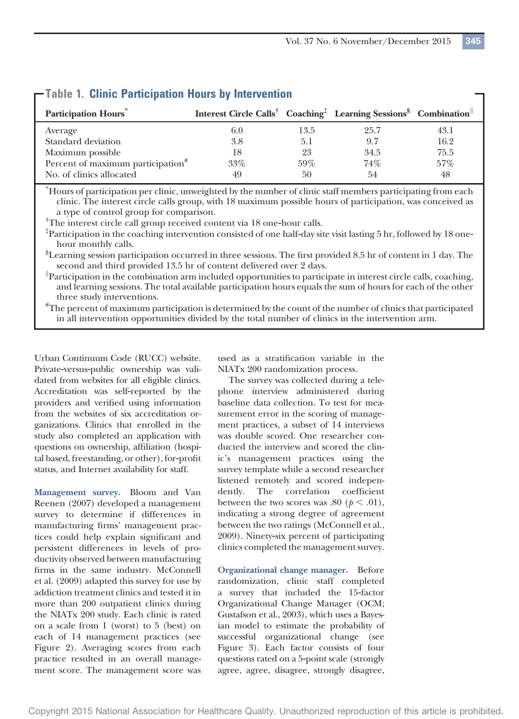| Participation Hours <sup>®</sup>              | Interest Circle Calls <sup>†</sup> Coaching <sup>‡</sup> Learning Sessions <sup>§</sup> Combination <sup>  </sup> |      |      |      |
|-----------------------------------------------|-------------------------------------------------------------------------------------------------------------------|------|------|------|
| Average                                       | 6.0                                                                                                               | 13.5 | 25.7 | 43.1 |
| Standard deviation                            | 3.8                                                                                                               | 5.1  | 9.7  | 16.2 |
| Maximum possible                              | 18                                                                                                                | 23   | 34.5 | 75.5 |
| Percent of maximum participation <sup>#</sup> | 33%                                                                                                               | 59%  | 74%  | 57%  |
| No. of clinics allocated                      | 49                                                                                                                | 50   | 54   | 48   |

# Table 1. Clinic Participation Hours by Intervention

\* Hours of participation per clinic, unweighted by the number of clinic staff members participating from each clinic. The interest circle calls group, with 18 maximum possible hours of participation, was conceived as a type of control group for comparison.

† The interest circle call group received content via 18 one‐hour calls.

‡ Participation in the coaching intervention consisted of one half‐day site visit lasting 5 hr, followed by 18 one‐ hour monthly calls.

§ Learning session participation occurred in three sessions. The first provided 8.5 hr of content in 1 day. The second and third provided 13.5 hr of content delivered over 2 days.

k Participation in the combination arm included opportunities to participate in interest circle calls, coaching, and learning sessions. The total available participation hours equals the sum of hours for each of the other three study interventions.

 $^{\#}$ The percent of maximum participation is determined by the count of the number of clinics that participated in all intervention opportunities divided by the total number of clinics in the intervention arm.

Urban Continuum Code (RUCC) website. Private‐versus‐public ownership was validated from websites for all eligible clinics. Accreditation was self‐reported by the providers and verified using information from the websites of six accreditation organizations. Clinics that enrolled in the study also completed an application with questions on ownership, affiliation (hospital based, freestanding, or other), for‐profit status, and Internet availability for staff.

Management survey. Bloom and Van Reenen (2007) developed a management survey to determine if differences in manufacturing firms' management practices could help explain significant and persistent differences in levels of productivity observed between manufacturing firms in the same industry. McConnell et al. (2009) adapted this survey for use by addiction treatment clinics and tested it in more than 200 outpatient clinics during the NIATx 200 study. Each clinic is rated on a scale from 1 (worst) to 5 (best) on each of 14 management practices (see Figure 2). Averaging scores from each practice resulted in an overall management score. The management score was used as a stratification variable in the NIATx 200 randomization process.

The survey was collected during a telephone interview administered during baseline data collection. To test for measurement error in the scoring of management practices, a subset of 14 interviews was double scored. One researcher conducted the interview and scored the clinic's management practices using the survey template while a second researcher listened remotely and scored independently. The correlation coefficient between the two scores was  $.80$  ( $p < .01$ ), indicating a strong degree of agreement between the two ratings (McConnell et al., 2009). Ninety‐six percent of participating clinics completed the management survey.

Organizational change manager. Before randomization, clinic staff completed a survey that included the 15‐factor Organizational Change Manager (OCM; Gustafson et al., 2003), which uses a Bayesian model to estimate the probability of successful organizational change (see Figure 3). Each factor consists of four questions rated on a 5‐point scale (strongly agree, agree, disagree, strongly disagree,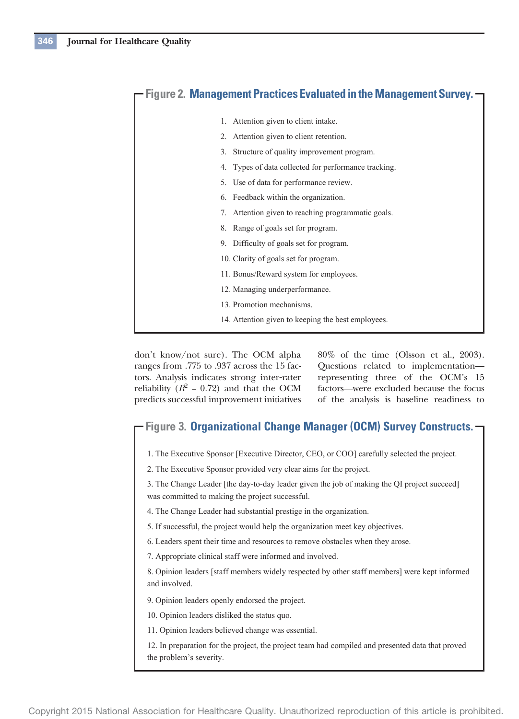| Figure 2. Management Practices Evaluated in the Management Survey. $\neg$ |
|---------------------------------------------------------------------------|
|                                                                           |
| 1. Attention given to client intake.                                      |
| 2. Attention given to client retention.                                   |
| 3. Structure of quality improvement program.                              |
| 4. Types of data collected for performance tracking.                      |
| 5. Use of data for performance review.                                    |
| 6. Feedback within the organization.                                      |
| 7. Attention given to reaching programmatic goals.                        |
| 8. Range of goals set for program.                                        |
| 9. Difficulty of goals set for program.                                   |
| 10. Clarity of goals set for program.                                     |
| 11. Bonus/Reward system for employees.                                    |
| 12. Managing underperformance.                                            |
| 13. Promotion mechanisms.                                                 |
| 14. Attention given to keeping the best employees.                        |
|                                                                           |

don't know/not sure). The OCM alpha ranges from .775 to .937 across the 15 factors. Analysis indicates strong inter‐rater reliability ( $R^2 = 0.72$ ) and that the OCM predicts successful improvement initiatives

80% of the time (Olsson et al., 2003). Questions related to implementation representing three of the OCM's 15 factors—were excluded because the focus of the analysis is baseline readiness to

# Figure 3. Organizational Change Manager (OCM) Survey Constructs.

1. The Executive Sponsor [Executive Director, CEO, or COO] carefully selected the project.

2. The Executive Sponsor provided very clear aims for the project.

3. The Change Leader [the day-to-day leader given the job of making the QI project succeed] was committed to making the project successful.

4. The Change Leader had substantial prestige in the organization.

5. If successful, the project would help the organization meet key objectives.

6. Leaders spent their time and resources to remove obstacles when they arose.

7. Appropriate clinical staff were informed and involved.

8. Opinion leaders [staff members widely respected by other staff members] were kept informed and involved.

9. Opinion leaders openly endorsed the project.

10. Opinion leaders disliked the status quo.

11. Opinion leaders believed change was essential.

12. In preparation for the project, the project team had compiled and presented data that proved the problem's severity.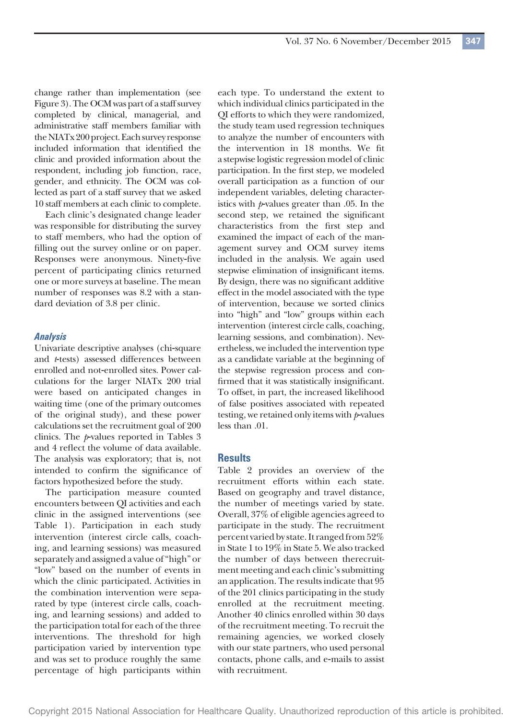change rather than implementation (see Figure 3). The OCM was part of a staff survey completed by clinical, managerial, and administrative staff members familiar with the NIATx 200 project. Each survey response included information that identified the clinic and provided information about the respondent, including job function, race, gender, and ethnicity. The OCM was collected as part of a staff survey that we asked 10 staff members at each clinic to complete.

Each clinic's designated change leader was responsible for distributing the survey to staff members, who had the option of filling out the survey online or on paper. Responses were anonymous. Ninety‐five percent of participating clinics returned one or more surveys at baseline. The mean number of responses was 8.2 with a standard deviation of 3.8 per clinic.

#### Analysis

Univariate descriptive analyses (chi‐square and *t*-tests) assessed differences between enrolled and not‐enrolled sites. Power calculations for the larger NIATx 200 trial were based on anticipated changes in waiting time (one of the primary outcomes of the original study), and these power calculations set the recruitment goal of 200 clinics. The  $p$ -values reported in Tables 3 and 4 reflect the volume of data available. The analysis was exploratory; that is, not intended to confirm the significance of factors hypothesized before the study.

The participation measure counted encounters between QI activities and each clinic in the assigned interventions (see Table 1). Participation in each study intervention (interest circle calls, coaching, and learning sessions) was measured separately and assigned a value of"high" or "low" based on the number of events in which the clinic participated. Activities in the combination intervention were separated by type (interest circle calls, coaching, and learning sessions) and added to the participation total for each of the three interventions. The threshold for high participation varied by intervention type and was set to produce roughly the same percentage of high participants within

each type. To understand the extent to which individual clinics participated in the QI efforts to which they were randomized, the study team used regression techniques to analyze the number of encounters with the intervention in 18 months. We fit a stepwise logistic regression model of clinic participation. In the first step, we modeled overall participation as a function of our independent variables, deleting characteristics with  $p$ -values greater than 0.05. In the second step, we retained the significant characteristics from the first step and examined the impact of each of the management survey and OCM survey items included in the analysis. We again used stepwise elimination of insignificant items. By design, there was no significant additive effect in the model associated with the type of intervention, because we sorted clinics into "high" and "low" groups within each intervention (interest circle calls, coaching, learning sessions, and combination). Nevertheless, we included the intervention type as a candidate variable at the beginning of the stepwise regression process and confirmed that it was statistically insignificant. To offset, in part, the increased likelihood of false positives associated with repeated testing, we retained only items with  $p$ -values less than .01.

#### **Results**

Table 2 provides an overview of the recruitment efforts within each state. Based on geography and travel distance, the number of meetings varied by state. Overall, 37% of eligible agencies agreed to participate in the study. The recruitment percent varied by state. It ranged from 52% in State 1 to 19% in State 5. We also tracked the number of days between therecruitment meeting and each clinic's submitting an application. The results indicate that 95 of the 201 clinics participating in the study enrolled at the recruitment meeting. Another 40 clinics enrolled within 30 days of the recruitment meeting. To recruit the remaining agencies, we worked closely with our state partners, who used personal contacts, phone calls, and e‐mails to assist with recruitment.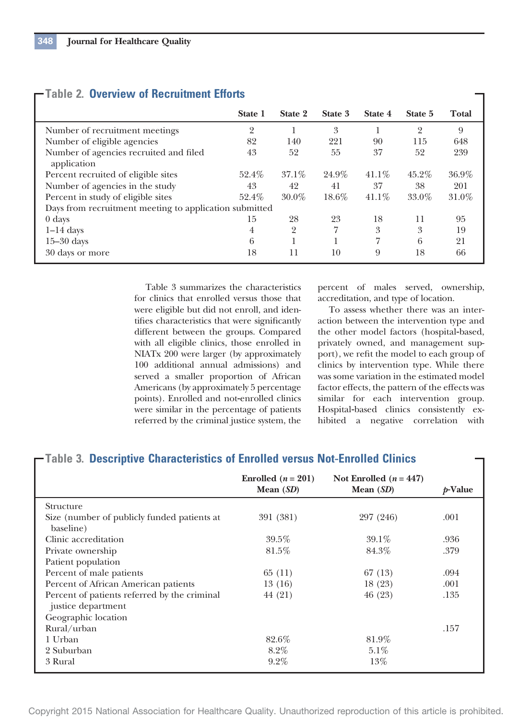|                                                        | State 1  | State 2        | State 3 | State 4  | State 5        | Total |
|--------------------------------------------------------|----------|----------------|---------|----------|----------------|-------|
| Number of recruitment meetings                         | 2        |                | 3       |          | $\overline{2}$ | 9     |
| Number of eligible agencies                            | 82       | 140            | 221     | 90       | 115            | 648   |
| Number of agencies recruited and filed<br>application  | 43       | 52             | 55      | 37       | 52             | 239   |
| Percent recruited of eligible sites                    | $52.4\%$ | $37.1\%$       | 24.9%   | $41.1\%$ | $45.2\%$       | 36.9% |
| Number of agencies in the study                        | 43       | 42             | 41      | 37       | 38             | 201   |
| Percent in study of eligible sites                     | 52.4%    | $30.0\%$       | 18.6%   | $41.1\%$ | 33.0%          | 31.0% |
| Days from recruitment meeting to application submitted |          |                |         |          |                |       |
| $0 \text{ days}$                                       | 15       | 28             | 23      | 18       | 11             | 95    |
| $1-14$ days                                            | 4        | $\overline{2}$ | 7       | 3        | 3              | 19    |
| $15-30$ days                                           | 6        |                |         | ד        | 6              | 21    |
| 30 days or more                                        | 18       | 11             | 10      | 9        | 18             | 66    |

## Table 2. Overview of Recruitment Efforts

Table 3 summarizes the characteristics for clinics that enrolled versus those that were eligible but did not enroll, and identifies characteristics that were significantly different between the groups. Compared with all eligible clinics, those enrolled in NIATx 200 were larger (by approximately 100 additional annual admissions) and served a smaller proportion of African Americans (by approximately 5 percentage points). Enrolled and not-enrolled clinics were similar in the percentage of patients referred by the criminal justice system, the

percent of males served, ownership, accreditation, and type of location.

To assess whether there was an interaction between the intervention type and the other model factors (hospital‐based, privately owned, and management support), we refit the model to each group of clinics by intervention type. While there was some variation in the estimated model factor effects, the pattern of the effects was similar for each intervention group. Hospital‐based clinics consistently exhibited a negative correlation with

┑

|                                                                    | Enrolled $(n = 201)$<br>Mean $(SD)$ | Not Enrolled $(n = 447)$<br>Mean $(SD)$ | $p$ -Value |
|--------------------------------------------------------------------|-------------------------------------|-----------------------------------------|------------|
| <b>Structure</b>                                                   |                                     |                                         |            |
| Size (number of publicly funded patients at<br>baseline)           | 391 (381)                           | 297 (246)                               | .001       |
| Clinic accreditation                                               | $39.5\%$                            | $39.1\%$                                | .936       |
| Private ownership                                                  | 81.5%                               | 84.3%                                   | .379       |
| Patient population                                                 |                                     |                                         |            |
| Percent of male patients                                           | 65 (11)                             | 67 (13)                                 | .094       |
| Percent of African American patients                               | 13 (16)                             | 18(23)                                  | .001       |
| Percent of patients referred by the criminal<br>justice department | 44 (21)                             | 46(23)                                  | .135       |
| Geographic location                                                |                                     |                                         |            |
| Rural/urban                                                        |                                     |                                         | .157       |
| 1 Urban                                                            | 82.6%                               | 81.9%                                   |            |
| 2 Suburban                                                         | 8.2%                                | $5.1\%$                                 |            |
| 3 Rural                                                            | 9.2%                                | 13%                                     |            |

# Table 3. Descriptive Characteristics of Enrolled versus Not‐Enrolled Clinics

Copyright 2015 National Association for Healthcare Quality. Unauthorized reproduction of this article is prohibited.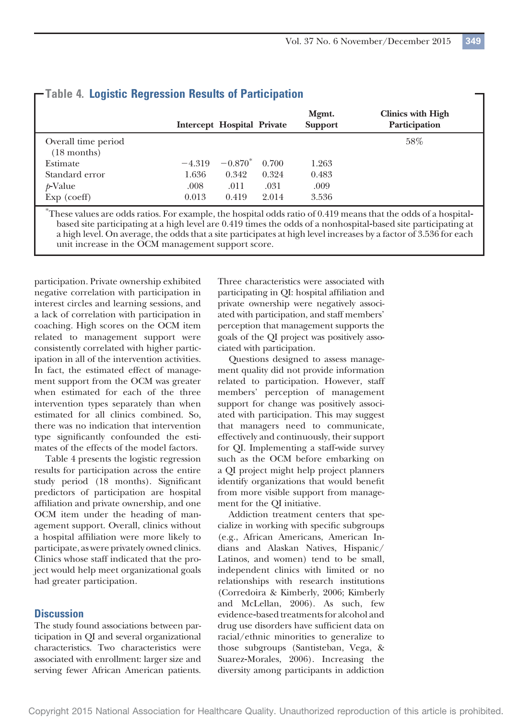|                                                                                                                    |          | <b>Intercept Hospital Private</b> |       | Mgmt.<br><b>Support</b> | <b>Clinics with High</b><br>Participation |
|--------------------------------------------------------------------------------------------------------------------|----------|-----------------------------------|-------|-------------------------|-------------------------------------------|
| Overall time period                                                                                                |          |                                   |       |                         | 58%                                       |
| $(18$ months)                                                                                                      |          |                                   |       |                         |                                           |
| Estimate                                                                                                           | $-4.319$ | $-0.870^*$                        | 0.700 | 1.263                   |                                           |
| Standard error                                                                                                     | 1.636    | 0.342                             | 0.324 | 0.483                   |                                           |
| $p$ -Value                                                                                                         | .008     | .011                              | .031  | .009                    |                                           |
| $Exp$ (coeff)                                                                                                      | 0.013    | 0.419                             | 2.014 | 3.536                   |                                           |
| $*$ These values are odds ratios. For example, the bospital odds ratio of 0.419 means that the odds of a bospital- |          |                                   |       |                         |                                           |

### Table 4. Logistic Regression Results of Participation

ds ratios. For example, the hospital odds ratio of 0.419 means that the odds of a hospital based site participating at a high level are 0.419 times the odds of a nonhospital‐based site participating at a high level. On average, the odds that a site participates at high level increases by a factor of 3.536 for each unit increase in the OCM management support score.

participation. Private ownership exhibited negative correlation with participation in interest circles and learning sessions, and a lack of correlation with participation in coaching. High scores on the OCM item related to management support were consistently correlated with higher participation in all of the intervention activities. In fact, the estimated effect of management support from the OCM was greater when estimated for each of the three intervention types separately than when estimated for all clinics combined. So, there was no indication that intervention type significantly confounded the estimates of the effects of the model factors.

Table 4 presents the logistic regression results for participation across the entire study period (18 months). Significant predictors of participation are hospital affiliation and private ownership, and one OCM item under the heading of management support. Overall, clinics without a hospital affiliation were more likely to participate, as were privately owned clinics. Clinics whose staff indicated that the project would help meet organizational goals had greater participation.

### **Discussion**

The study found associations between participation in QI and several organizational characteristics. Two characteristics were associated with enrollment: larger size and serving fewer African American patients.

Three characteristics were associated with participating in QI: hospital affiliation and private ownership were negatively associated with participation, and staff members' perception that management supports the goals of the QI project was positively associated with participation.

Questions designed to assess management quality did not provide information related to participation. However, staff members' perception of management support for change was positively associated with participation. This may suggest that managers need to communicate, effectively and continuously, their support for QI. Implementing a staff‐wide survey such as the OCM before embarking on a QI project might help project planners identify organizations that would benefit from more visible support from management for the QI initiative.

Addiction treatment centers that specialize in working with specific subgroups (e.g., African Americans, American Indians and Alaskan Natives, Hispanic/ Latinos, and women) tend to be small, independent clinics with limited or no relationships with research institutions (Corredoira & Kimberly, 2006; Kimberly and McLellan, 2006). As such, few evidence‐based treatments for alcohol and drug use disorders have sufficient data on racial/ethnic minorities to generalize to those subgroups (Santisteban, Vega, & Suarez‐Morales, 2006). Increasing the diversity among participants in addiction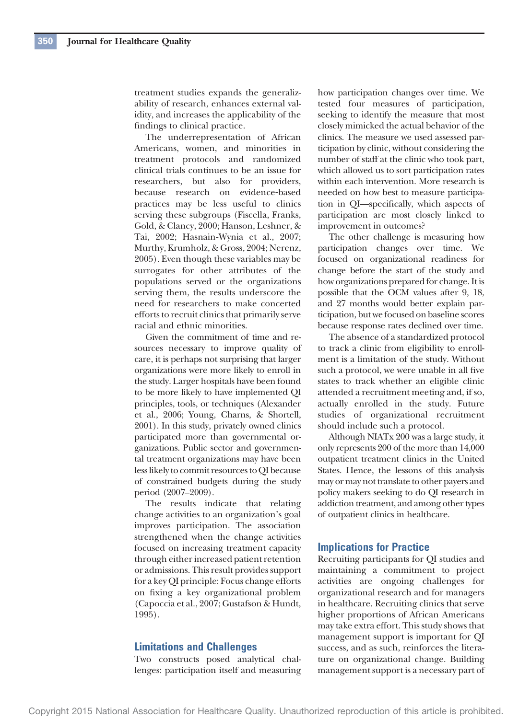treatment studies expands the generalizability of research, enhances external validity, and increases the applicability of the findings to clinical practice.

The underrepresentation of African Americans, women, and minorities in treatment protocols and randomized clinical trials continues to be an issue for researchers, but also for providers, because research on evidence‐based practices may be less useful to clinics serving these subgroups (Fiscella, Franks, Gold, & Clancy, 2000; Hanson, Leshner, & Tai, 2002; Hasnain‐Wynia et al., 2007; Murthy, Krumholz, & Gross, 2004; Nerenz, 2005). Even though these variables may be surrogates for other attributes of the populations served or the organizations serving them, the results underscore the need for researchers to make concerted efforts to recruit clinics that primarily serve racial and ethnic minorities.

Given the commitment of time and resources necessary to improve quality of care, it is perhaps not surprising that larger organizations were more likely to enroll in the study. Larger hospitals have been found to be more likely to have implemented QI principles, tools, or techniques (Alexander et al., 2006; Young, Charns, & Shortell, 2001). In this study, privately owned clinics participated more than governmental organizations. Public sector and governmental treatment organizations may have been less likely to commit resources to QI because of constrained budgets during the study period (2007–2009).

The results indicate that relating change activities to an organization's goal improves participation. The association strengthened when the change activities focused on increasing treatment capacity through either increased patient retention or admissions. This result provides support for a key QI principle: Focus change efforts on fixing a key organizational problem (Capoccia et al., 2007; Gustafson & Hundt, 1995).

#### Limitations and Challenges

Two constructs posed analytical challenges: participation itself and measuring how participation changes over time. We tested four measures of participation, seeking to identify the measure that most closely mimicked the actual behavior of the clinics. The measure we used assessed participation by clinic, without considering the number of staff at the clinic who took part, which allowed us to sort participation rates within each intervention. More research is needed on how best to measure participation in QI—specifically, which aspects of participation are most closely linked to improvement in outcomes?

The other challenge is measuring how participation changes over time. We focused on organizational readiness for change before the start of the study and how organizations prepared for change. It is possible that the OCM values after 9, 18, and 27 months would better explain participation, but we focused on baseline scores because response rates declined over time.

The absence of a standardized protocol to track a clinic from eligibility to enrollment is a limitation of the study. Without such a protocol, we were unable in all five states to track whether an eligible clinic attended a recruitment meeting and, if so, actually enrolled in the study. Future studies of organizational recruitment should include such a protocol.

Although NIATx 200 was a large study, it only represents 200 of the more than 14,000 outpatient treatment clinics in the United States. Hence, the lessons of this analysis may or may not translate to other payers and policy makers seeking to do QI research in addiction treatment, and among other types of outpatient clinics in healthcare.

#### Implications for Practice

Recruiting participants for QI studies and maintaining a commitment to project activities are ongoing challenges for organizational research and for managers in healthcare. Recruiting clinics that serve higher proportions of African Americans may take extra effort. This study shows that management support is important for QI success, and as such, reinforces the literature on organizational change. Building management support is a necessary part of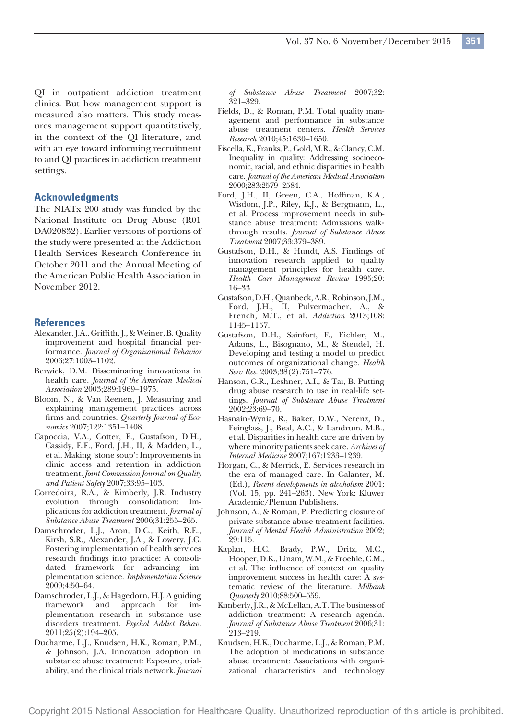QI in outpatient addiction treatment clinics. But how management support is measured also matters. This study measures management support quantitatively, in the context of the QI literature, and with an eye toward informing recruitment to and QI practices in addiction treatment settings.

### Acknowledgments

The NIATx 200 study was funded by the National Institute on Drug Abuse (R01 DA020832). Earlier versions of portions of the study were presented at the Addiction Health Services Research Conference in October 2011 and the Annual Meeting of the American Public Health Association in November 2012.

### References

- Alexander, J.A., Griffith, J., & Weiner, B. Quality improvement and hospital financial performance. Journal of Organizational Behavior 2006;27:1003–1102.
- Berwick, D.M. Disseminating innovations in health care. Journal of the American Medical Association 2003;289:1969–1975.
- Bloom, N., & Van Reenen, J. Measuring and explaining management practices across firms and countries. Quarterly Journal of Economics 2007;122:1351–1408.
- Capoccia, V.A., Cotter, F., Gustafson, D.H., Cassidy, E.F., Ford, J.H., II, & Madden, L., et al. Making 'stone soup': Improvements in clinic access and retention in addiction treatment. Joint Commission Journal on Quality and Patient Safety 2007;33:95–103.
- Corredoira, R.A., & Kimberly, J.R. Industry evolution through consolidation: Implications for addiction treatment. Journal of Substance Abuse Treatment 2006;31:255–265.
- Damschroder, L.J., Aron, D.C., Keith, R.E., Kirsh, S.R., Alexander, J.A., & Lowery, J.C. Fostering implementation of health services research findings into practice: A consolidated framework for advancing implementation science. Implementation Science 2009;4:50–64.
- Damschroder, L.J., & Hagedorn, H.J. A guiding framework and approach for implementation research in substance use disorders treatment. Psychol Addict Behav. 2011;25(2):194–205.
- Ducharme, L.J., Knudsen, H.K., Roman, P.M., & Johnson, J.A. Innovation adoption in substance abuse treatment: Exposure, trialability, and the clinical trials network. Journal

of Substance Abuse Treatment 2007;32: 321–329.

- Fields, D., & Roman, P.M. Total quality management and performance in substance abuse treatment centers. Health Services Research 2010;45:1630–1650.
- Fiscella, K., Franks, P., Gold, M.R., & Clancy, C.M. Inequality in quality: Addressing socioeconomic, racial, and ethnic disparities in health care. Journal of the American Medical Association 2000;283:2579–2584.
- Ford, J.H., II, Green, C.A., Hoffman, K.A., Wisdom, J.P., Riley, K.J., & Bergmann, L., et al. Process improvement needs in substance abuse treatment: Admissions walk‐ through results. Journal of Substance Abuse Treatment 2007;33:379–389.
- Gustafson, D.H., & Hundt, A.S. Findings of innovation research applied to quality management principles for health care. Health Care Management Review 1995;20: 16–33.
- Gustafson, D.H., Quanbeck, A.R., Robinson, J.M., Ford, J.H., II, Pulvermacher, A., & French, M.T., et al. Addiction 2013;108: 1145–1157.
- Gustafson, D.H., Sainfort, F., Eichler, M., Adams, L., Bisognano, M., & Steudel, H. Developing and testing a model to predict outcomes of organizational change. Health Serv Res. 2003;38(2):751–776.
- Hanson, G.R., Leshner, A.I., & Tai, B. Putting drug abuse research to use in real‐life settings. Journal of Substance Abuse Treatment 2002;23:69–70.
- Hasnain‐Wynia, R., Baker, D.W., Nerenz, D., Feinglass, J., Beal, A.C., & Landrum, M.B., et al. Disparities in health care are driven by where minority patients seek care. Archives of Internal Medicine 2007;167:1233–1239.
- Horgan, C., & Merrick, E. Services research in the era of managed care. In Galanter, M. (Ed.), Recent developments in alcoholism 2001; (Vol. 15, pp. 241–263). New York: Kluwer Academic/Plenum Publishers.
- Johnson, A., & Roman, P. Predicting closure of private substance abuse treatment facilities. Journal of Mental Health Administration 2002; 29:115.
- Kaplan, H.C., Brady, P.W., Dritz, M.C., Hooper, D.K., Linam, W.M., & Froehle, C.M., et al. The influence of context on quality improvement success in health care: A systematic review of the literature. Milbank Quarterly 2010;88:500–559.
- Kimberly, J.R., & McLellan, A.T. The business of addiction treatment: A research agenda. Journal of Substance Abuse Treatment 2006;31: 213–219.
- Knudsen, H.K., Ducharme, L.J., & Roman, P.M. The adoption of medications in substance abuse treatment: Associations with organizational characteristics and technology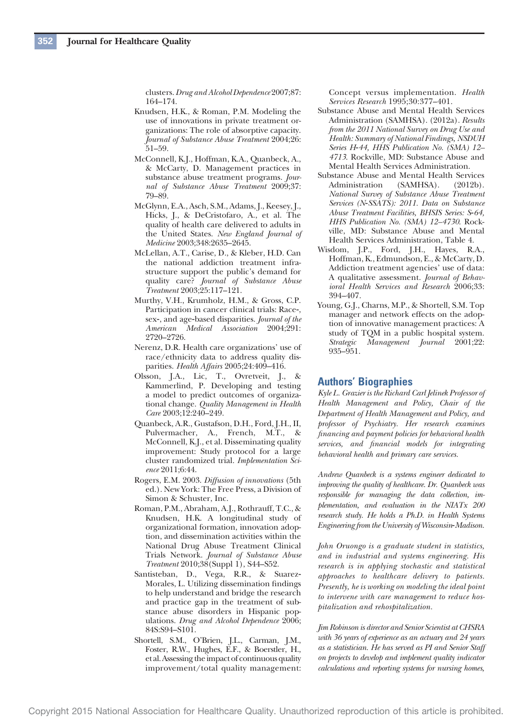clusters. Drug and Alcohol Dependence 2007;87: 164–174.

- Knudsen, H.K., & Roman, P.M. Modeling the use of innovations in private treatment organizations: The role of absorptive capacity. Journal of Substance Abuse Treatment 2004;26: 51–59.
- McConnell, K.J., Hoffman, K.A., Quanbeck, A., & McCarty, D. Management practices in substance abuse treatment programs. Journal of Substance Abuse Treatment 2009;37: 79–89.
- McGlynn, E.A., Asch, S.M., Adams, J., Keesey, J., Hicks, J., & DeCristofaro, A., et al. The quality of health care delivered to adults in the United States. New England Journal of Medicine 2003;348:2635–2645.
- McLellan, A.T., Carise, D., & Kleber, H.D. Can the national addiction treatment infrastructure support the public's demand for quality care? Journal of Substance Abuse Treatment 2003;25:117–121.
- Murthy, V.H., Krumholz, H.M., & Gross, C.P. Participation in cancer clinical trials: Race‐, sex-, and age-based disparities. Journal of the American Medical Association 2004;291: 2720–2726.
- Nerenz, D.R. Health care organizations' use of race/ethnicity data to address quality disparities. Health Affairs 2005;24:409–416.
- Olsson, J.A., Lic, T., Ovretveit, J., & Kammerlind, P. Developing and testing a model to predict outcomes of organizational change. Quality Management in Health Care 2003;12:240–249.
- Quanbeck, A.R., Gustafson, D.H., Ford, J.H., II, Pulvermacher, A., French, M.T., & McConnell, K.J., et al. Disseminating quality improvement: Study protocol for a large cluster randomized trial. Implementation Science 2011;6:44.
- Rogers, E.M. 2003. Diffusion of innovations (5th ed.). New York: The Free Press, a Division of Simon & Schuster, Inc.
- Roman, P.M., Abraham, A.J., Rothrauff, T.C., & Knudsen, H.K. A longitudinal study of organizational formation, innovation adoption, and dissemination activities within the National Drug Abuse Treatment Clinical Trials Network. Journal of Substance Abuse Treatment 2010;38(Suppl 1), S44–S52.
- Santisteban, D., Vega, R.R., & Suarez-Morales, L. Utilizing dissemination findings to help understand and bridge the research and practice gap in the treatment of substance abuse disorders in Hispanic populations. Drug and Alcohol Dependence 2006; 84S:S94–S101.
- Shortell, S.M., O'Brien, J.L., Carman, J.M., Foster, R.W., Hughes, E.F., & Boerstler, H., et al.Assessing theimpact of continuous quality improvement/total quality management:

Concept versus implementation. Health Services Research 1995;30:377–401.

- Substance Abuse and Mental Health Services Administration (SAMHSA). (2012a). Results from the 2011 National Survey on Drug Use and Health: Summary of National Findings, NSDUH Series H-44, HHS Publication No. (SMA) 12– 4713. Rockville, MD: Substance Abuse and Mental Health Services Administration.
- Substance Abuse and Mental Health Services<br>Administration (SAMHSA). (2012b). Administration National Survey of Substance Abuse Treatment Services (N‐SSATS): 2011. Data on Substance Abuse Treatment Facilities, BHSIS Series: S‐64, HHS Publication No. (SMA) 12–4730. Rockville, MD: Substance Abuse and Mental Health Services Administration, Table 4.
- Wisdom, J.P., Ford, J.H., Hayes, R.A., Hoffman, K., Edmundson, E., & McCarty, D. Addiction treatment agencies' use of data: A qualitative assessment. Journal of Behavioral Health Services and Research 2006;33: 394–407.
- Young, G.J., Charns, M.P., & Shortell, S.M. Top manager and network effects on the adoption of innovative management practices: A study of TQM in a public hospital system. Strategic Management Journal 2001;22: 935–951.

#### Authors' Biographies

Kyle L. Grazier is the Richard Carl Jelinek Professor of Health Management and Policy, Chair of the Department of Health Management and Policy, and professor of Psychiatry. Her research examines financing and payment policies for behavioral health services, and financial models for integrating behavioral health and primary care services.

Andrew Quanbeck is a systems engineer dedicated to improving the quality of healthcare. Dr. Quanbeck was responsible for managing the data collection, implementation, and evaluation in the NIATx 200 research study. He holds a Ph.D. in Health Systems Engineering from the University of Wisconsin‐Madison.

John Oruongo is a graduate student in statistics, and in industrial and systems engineering. His research is in applying stochastic and statistical approaches to healthcare delivery to patients. Presently, he is working on modeling the ideal point to intervene with care management to reduce hospitalization and rehospitalization.

Jim Robinson is director and Senior Scientist at CHSRA with 36 years of experience as an actuary and 24 years as a statistician. He has served as PI and Senior Staff on projects to develop and implement quality indicator calculations and reporting systems for nursing homes,